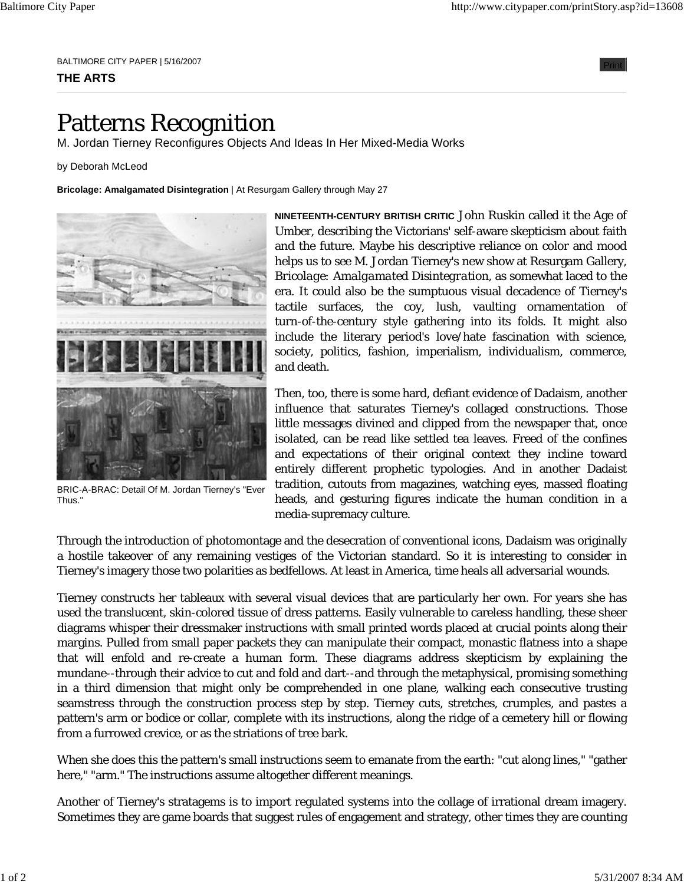BALTIMORE CITY PAPER | 5/16/2007

## **THE ARTS**

## Patterns Recognition

M. Jordan Tierney Reconfigures Objects And Ideas In Her Mixed-Media Works

by Deborah McLeod

**Bricolage: Amalgamated Disintegration** | At Resurgam Gallery through May 27



BRIC-A-BRAC: Detail Of M. Jordan Tierney's "Ever Thus."

**NINETEENTH-CENTURY BRITISH CRITIC** John Ruskin called it the Age of Umber, describing the Victorians' self-aware skepticism about faith and the future. Maybe his descriptive reliance on color and mood helps us to see M. Jordan Tierney's new show at Resurgam Gallery, *Bricolage: Amalgamated Disintegration*, as somewhat laced to the era. It could also be the sumptuous visual decadence of Tierney's tactile surfaces, the coy, lush, vaulting ornamentation of turn-of-the-century style gathering into its folds. It might also include the literary period's love/hate fascination with science, society, politics, fashion, imperialism, individualism, commerce, and death.

Then, too, there is some hard, defiant evidence of Dadaism, another influence that saturates Tierney's collaged constructions. Those little messages divined and clipped from the newspaper that, once isolated, can be read like settled tea leaves. Freed of the confines and expectations of their original context they incline toward entirely different prophetic typologies. And in another Dadaist tradition, cutouts from magazines, watching eyes, massed floating heads, and gesturing figures indicate the human condition in a media-supremacy culture.

Through the introduction of photomontage and the desecration of conventional icons, Dadaism was originally a hostile takeover of any remaining vestiges of the Victorian standard. So it is interesting to consider in Tierney's imagery those two polarities as bedfellows. At least in America, time heals all adversarial wounds.

Tierney constructs her tableaux with several visual devices that are particularly her own. For years she has used the translucent, skin-colored tissue of dress patterns. Easily vulnerable to careless handling, these sheer diagrams whisper their dressmaker instructions with small printed words placed at crucial points along their margins. Pulled from small paper packets they can manipulate their compact, monastic flatness into a shape that will enfold and re-create a human form. These diagrams address skepticism by explaining the mundane--through their advice to cut and fold and dart--and through the metaphysical, promising something in a third dimension that might only be comprehended in one plane, walking each consecutive trusting seamstress through the construction process step by step. Tierney cuts, stretches, crumples, and pastes a pattern's arm or bodice or collar, complete with its instructions, along the ridge of a cemetery hill or flowing from a furrowed crevice, or as the striations of tree bark.

When she does this the pattern's small instructions seem to emanate from the earth: "cut along lines," "gather here," "arm." The instructions assume altogether different meanings.

Another of Tierney's stratagems is to import regulated systems into the collage of irrational dream imagery. Sometimes they are game boards that suggest rules of engagement and strategy, other times they are counting